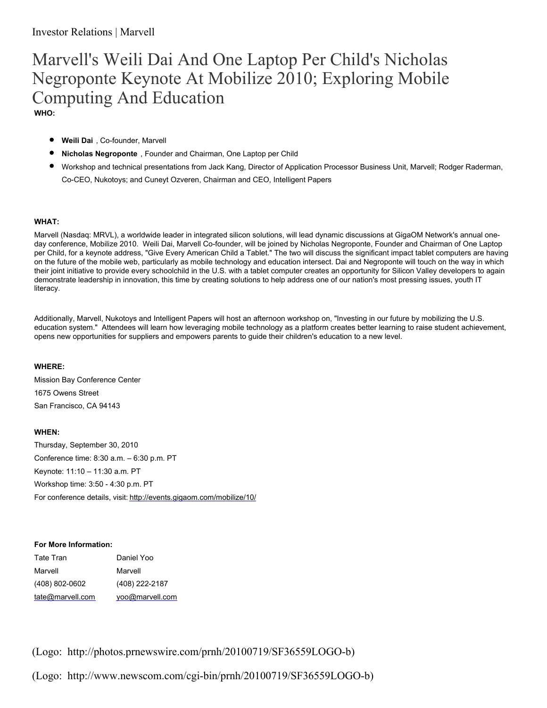# Marvell's Weili Dai And One Laptop Per Child's Nicholas Negroponte Keynote At Mobilize 2010; Exploring Mobile Computing And Education **WHO:**

- **Weili Dai** , Co-founder, Marvell
- **Nicholas Negroponte** , Founder and Chairman, One Laptop per Child
- Workshop and technical presentations from Jack Kang, Director of Application Processor Business Unit, Marvell; Rodger Raderman, Co-CEO, Nukotoys; and Cuneyt Ozveren, Chairman and CEO, Intelligent Papers

### **WHAT:**

Marvell (Nasdaq: MRVL), a worldwide leader in integrated silicon solutions, will lead dynamic discussions at GigaOM Network's annual oneday conference, Mobilize 2010. Weili Dai, Marvell Co-founder, will be joined by Nicholas Negroponte, Founder and Chairman of One Laptop per Child, for a keynote address, "Give Every American Child a Tablet." The two will discuss the significant impact tablet computers are having on the future of the mobile web, particularly as mobile technology and education intersect. Dai and Negroponte will touch on the way in which their joint initiative to provide every schoolchild in the U.S. with a tablet computer creates an opportunity for Silicon Valley developers to again demonstrate leadership in innovation, this time by creating solutions to help address one of our nation's most pressing issues, youth IT literacy.

Additionally, Marvell, Nukotoys and Intelligent Papers will host an afternoon workshop on, "Investing in our future by mobilizing the U.S. education system." Attendees will learn how leveraging mobile technology as a platform creates better learning to raise student achievement, opens new opportunities for suppliers and empowers parents to guide their children's education to a new level.

#### **WHERE:**

Mission Bay Conference Center 1675 Owens Street San Francisco, CA 94143

## **WHEN:**

Thursday, September 30, 2010 Conference time: 8:30 a.m. – 6:30 p.m. PT Keynote: 11:10 – 11:30 a.m. PT Workshop time: 3:50 - 4:30 p.m. PT For conference details, visit: <http://events.gigaom.com/mobilize/10/>

#### **For More Information:**

| Tate Tran        | Daniel Yoo      |
|------------------|-----------------|
| Marvell          | Marvell         |
| (408) 802-0602   | (408) 222-2187  |
| tate@marvell.com | yoo@marvell.com |

(Logo: http://photos.prnewswire.com/prnh/20100719/SF36559LOGO-b)

(Logo: http://www.newscom.com/cgi-bin/prnh/20100719/SF36559LOGO-b)